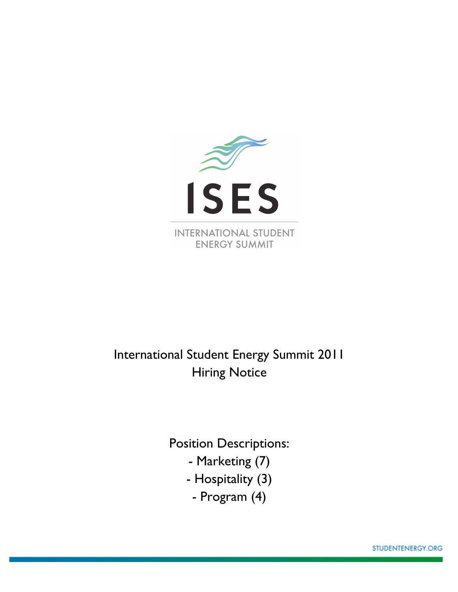

# International Student Energy Summit 2011 Hiring Notice

Position Descriptions:

- Marketing (7)
- Hospitality (3)
	- Program (4)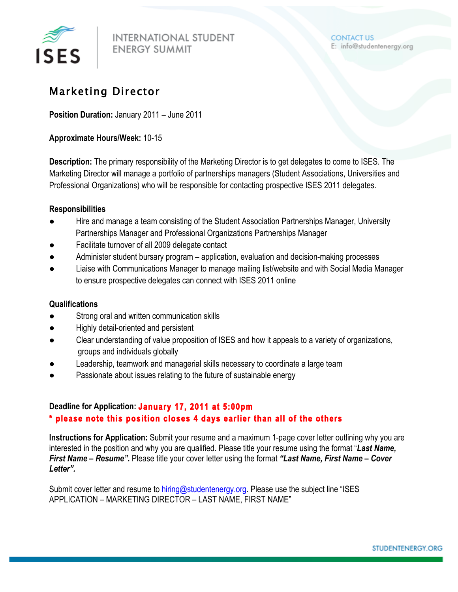

### Marketing Director

**Position Duration:** January 2011 – June 2011

#### **Approximate Hours/Week:** 10-15

**Description:** The primary responsibility of the Marketing Director is to get delegates to come to ISES. The Marketing Director will manage a portfolio of partnerships managers (Student Associations, Universities and Professional Organizations) who will be responsible for contacting prospective ISES 2011 delegates.

#### **Responsibilities**

- Hire and manage a team consisting of the Student Association Partnerships Manager, University Partnerships Manager and Professional Organizations Partnerships Manager
- Facilitate turnover of all 2009 delegate contact
- Administer student bursary program application, evaluation and decision-making processes
- Liaise with Communications Manager to manage mailing list/website and with Social Media Manager to ensure prospective delegates can connect with ISES 2011 online

#### **Qualifications**

- Strong oral and written communication skills
- Highly detail-oriented and persistent
- Clear understanding of value proposition of ISES and how it appeals to a variety of organizations, groups and individuals globally
- Leadership, teamwork and managerial skills necessary to coordinate a large team
- Passionate about issues relating to the future of sustainable energy

#### **Deadline for Application: January 17, 2011 at 5:00pm \* please note this position closes 4 days earlier than all of the others**

**Instructions for Application:** Submit your resume and a maximum 1-page cover letter outlining why you are interested in the position and why you are qualified. Please title your resume using the format "*Last Name, First Name – Resume".* Please title your cover letter using the format *"Last Name, First Name – Cover Letter".* 

Submit cover letter and resume to hiring@studentenergy.org. Please use the subject line "ISES APPLICATION – MARKETING DIRECTOR – LAST NAME, FIRST NAME"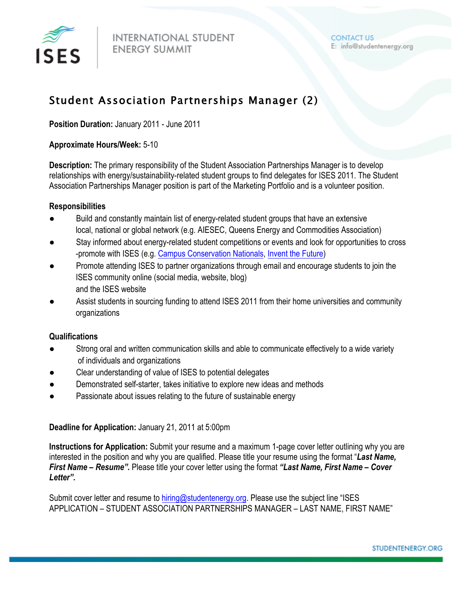

## Student Association Partnerships Manager (2)

**Position Duration:** January 2011 - June 2011

#### **Approximate Hours/Week:** 5-10

**Description:** The primary responsibility of the Student Association Partnerships Manager is to develop relationships with energy/sustainability-related student groups to find delegates for ISES 2011. The Student Association Partnerships Manager position is part of the Marketing Portfolio and is a volunteer position.

#### **Responsibilities**

- Build and constantly maintain list of energy-related student groups that have an extensive local, national or global network (e.g. AIESEC, Queens Energy and Commodities Association)
- Stay informed about energy-related student competitions or events and look for opportunities to cross -promote with ISES (e.g. Campus Conservation Nationals, Invent the Future)
- Promote attending ISES to partner organizations through email and encourage students to join the ISES community online (social media, website, blog) and the ISES website
- Assist students in sourcing funding to attend ISES 2011 from their home universities and community organizations

#### **Qualifications**

- Strong oral and written communication skills and able to communicate effectively to a wide variety of individuals and organizations
- Clear understanding of value of ISES to potential delegates
- Demonstrated self-starter, takes initiative to explore new ideas and methods
- Passionate about issues relating to the future of sustainable energy

#### **Deadline for Application:** January 21, 2011 at 5:00pm

**Instructions for Application:** Submit your resume and a maximum 1-page cover letter outlining why you are interested in the position and why you are qualified. Please title your resume using the format "*Last Name, First Name – Resume".* Please title your cover letter using the format *"Last Name, First Name – Cover Letter".* 

Submit cover letter and resume to hiring@studentenergy.org. Please use the subject line "ISES APPLICATION – STUDENT ASSOCIATION PARTNERSHIPS MANAGER – LAST NAME, FIRST NAME"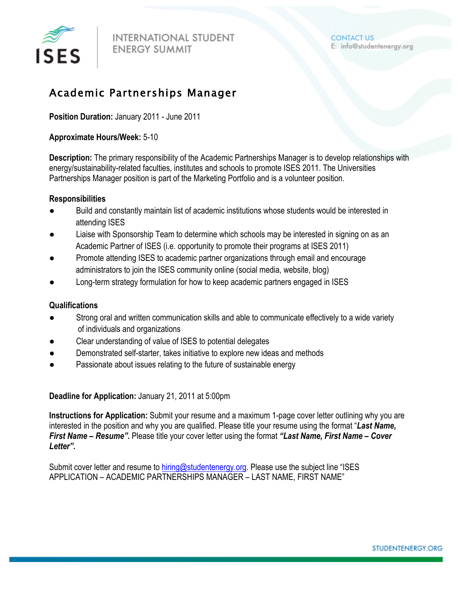

### Academic Partnerships Manager

**Position Duration:** January 2011 - June 2011

#### **Approximate Hours/Week:** 5-10

**Description:** The primary responsibility of the Academic Partnerships Manager is to develop relationships with energy/sustainability-related faculties, institutes and schools to promote ISES 2011. The Universities Partnerships Manager position is part of the Marketing Portfolio and is a volunteer position.

#### **Responsibilities**

- Build and constantly maintain list of academic institutions whose students would be interested in attending ISES
- Liaise with Sponsorship Team to determine which schools may be interested in signing on as an Academic Partner of ISES (i.e. opportunity to promote their programs at ISES 2011)
- Promote attending ISES to academic partner organizations through email and encourage administrators to join the ISES community online (social media, website, blog)
- Long-term strategy formulation for how to keep academic partners engaged in ISES

#### **Qualifications**

- Strong oral and written communication skills and able to communicate effectively to a wide variety of individuals and organizations
- Clear understanding of value of ISES to potential delegates
- Demonstrated self-starter, takes initiative to explore new ideas and methods
- Passionate about issues relating to the future of sustainable energy

**Deadline for Application:** January 21, 2011 at 5:00pm

**Instructions for Application:** Submit your resume and a maximum 1-page cover letter outlining why you are interested in the position and why you are qualified. Please title your resume using the format "*Last Name, First Name – Resume".* Please title your cover letter using the format *"Last Name, First Name – Cover Letter".* 

Submit cover letter and resume to hiring@studentenergy.org. Please use the subject line "ISES APPLICATION – ACADEMIC PARTNERSHIPS MANAGER – LAST NAME, FIRST NAME"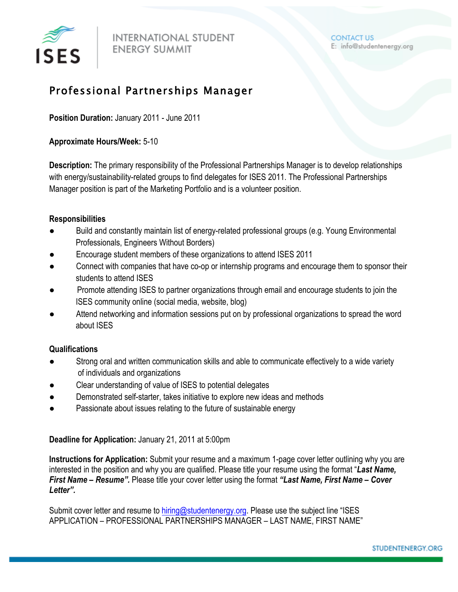

## Professional Partnerships Manager

**Position Duration:** January 2011 - June 2011

**Approximate Hours/Week:** 5-10

**Description:** The primary responsibility of the Professional Partnerships Manager is to develop relationships with energy/sustainability-related groups to find delegates for ISES 2011. The Professional Partnerships Manager position is part of the Marketing Portfolio and is a volunteer position.

#### **Responsibilities**

- Build and constantly maintain list of energy-related professional groups (e.g. Young Environmental Professionals, Engineers Without Borders)
- Encourage student members of these organizations to attend ISES 2011
- Connect with companies that have co-op or internship programs and encourage them to sponsor their students to attend ISES
- Promote attending ISES to partner organizations through email and encourage students to join the ISES community online (social media, website, blog)
- Attend networking and information sessions put on by professional organizations to spread the word about ISES

#### **Qualifications**

- Strong oral and written communication skills and able to communicate effectively to a wide variety of individuals and organizations
- Clear understanding of value of ISES to potential delegates
- Demonstrated self-starter, takes initiative to explore new ideas and methods
- Passionate about issues relating to the future of sustainable energy

**Deadline for Application:** January 21, 2011 at 5:00pm

**Instructions for Application:** Submit your resume and a maximum 1-page cover letter outlining why you are interested in the position and why you are qualified. Please title your resume using the format "*Last Name, First Name – Resume".* Please title your cover letter using the format *"Last Name, First Name – Cover Letter".* 

Submit cover letter and resume to hiring@studentenergy.org. Please use the subject line "ISES APPLICATION – PROFESSIONAL PARTNERSHIPS MANAGER – LAST NAME, FIRST NAME"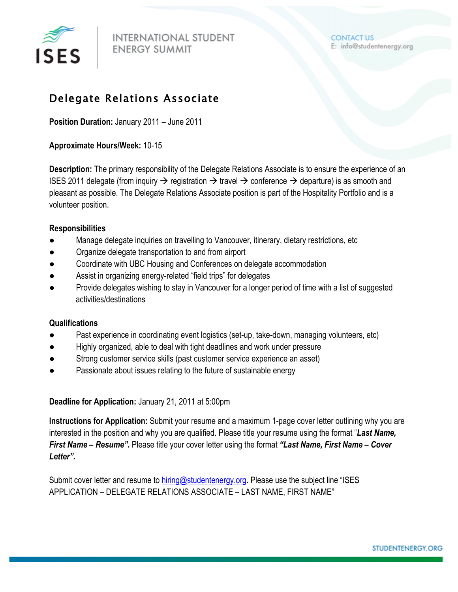

## Delegate Relations Associate

**Position Duration:** January 2011 – June 2011

#### **Approximate Hours/Week:** 10-15

**Description:** The primary responsibility of the Delegate Relations Associate is to ensure the experience of an ISES 2011 delegate (from inquiry  $\rightarrow$  registration  $\rightarrow$  travel  $\rightarrow$  conference  $\rightarrow$  departure) is as smooth and pleasant as possible. The Delegate Relations Associate position is part of the Hospitality Portfolio and is a volunteer position.

#### **Responsibilities**

- Manage delegate inquiries on travelling to Vancouver, itinerary, dietary restrictions, etc
- Organize delegate transportation to and from airport
- Coordinate with UBC Housing and Conferences on delegate accommodation
- Assist in organizing energy-related "field trips" for delegates
- Provide delegates wishing to stay in Vancouver for a longer period of time with a list of suggested activities/destinations

#### **Qualifications**

- Past experience in coordinating event logistics (set-up, take-down, managing volunteers, etc)
- Highly organized, able to deal with tight deadlines and work under pressure
- Strong customer service skills (past customer service experience an asset)
- Passionate about issues relating to the future of sustainable energy

#### **Deadline for Application:** January 21, 2011 at 5:00pm

**Instructions for Application:** Submit your resume and a maximum 1-page cover letter outlining why you are interested in the position and why you are qualified. Please title your resume using the format "*Last Name, First Name – Resume".* Please title your cover letter using the format *"Last Name, First Name – Cover Letter".* 

Submit cover letter and resume to hiring@studentenergy.org. Please use the subject line "ISES APPLICATION – DELEGATE RELATIONS ASSOCIATE – LAST NAME, FIRST NAME"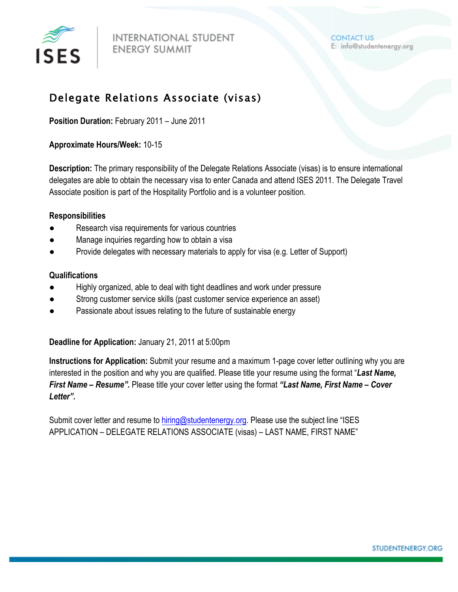

## Delegate Relations Associate (visas)

**Position Duration:** February 2011 – June 2011

#### **Approximate Hours/Week:** 10-15

**Description:** The primary responsibility of the Delegate Relations Associate (visas) is to ensure international delegates are able to obtain the necessary visa to enter Canada and attend ISES 2011. The Delegate Travel Associate position is part of the Hospitality Portfolio and is a volunteer position.

#### **Responsibilities**

- Research visa requirements for various countries
- Manage inquiries regarding how to obtain a visa
- Provide delegates with necessary materials to apply for visa (e.g. Letter of Support)

#### **Qualifications**

- Highly organized, able to deal with tight deadlines and work under pressure
- Strong customer service skills (past customer service experience an asset)
- Passionate about issues relating to the future of sustainable energy

**Deadline for Application:** January 21, 2011 at 5:00pm

**Instructions for Application:** Submit your resume and a maximum 1-page cover letter outlining why you are interested in the position and why you are qualified. Please title your resume using the format "*Last Name, First Name – Resume".* Please title your cover letter using the format *"Last Name, First Name – Cover Letter".* 

Submit cover letter and resume to hiring@studentenergy.org. Please use the subject line "ISES APPLICATION – DELEGATE RELATIONS ASSOCIATE (visas) – LAST NAME, FIRST NAME"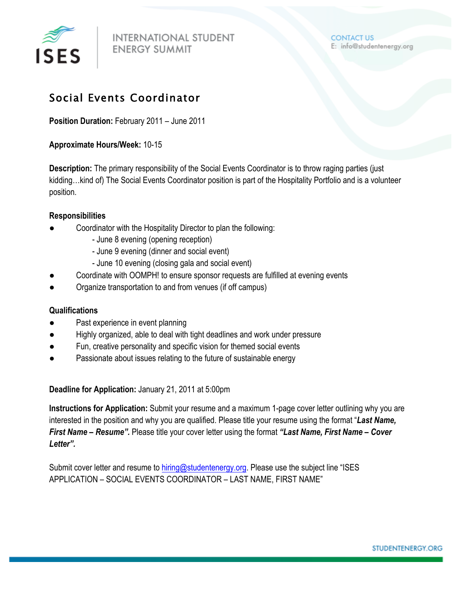

## Social Events Coordinator

**Position Duration:** February 2011 – June 2011

#### **Approximate Hours/Week:** 10-15

**Description:** The primary responsibility of the Social Events Coordinator is to throw raging parties (just kidding…kind of) The Social Events Coordinator position is part of the Hospitality Portfolio and is a volunteer position.

#### **Responsibilities**

- Coordinator with the Hospitality Director to plan the following:
	- June 8 evening (opening reception)
	- June 9 evening (dinner and social event)
	- June 10 evening (closing gala and social event)
- Coordinate with OOMPH! to ensure sponsor requests are fulfilled at evening events
- Organize transportation to and from venues (if off campus)

#### **Qualifications**

- Past experience in event planning
- Highly organized, able to deal with tight deadlines and work under pressure
- Fun, creative personality and specific vision for themed social events
- Passionate about issues relating to the future of sustainable energy

#### **Deadline for Application:** January 21, 2011 at 5:00pm

**Instructions for Application:** Submit your resume and a maximum 1-page cover letter outlining why you are interested in the position and why you are qualified. Please title your resume using the format "*Last Name, First Name – Resume".* Please title your cover letter using the format *"Last Name, First Name – Cover Letter".* 

Submit cover letter and resume to hiring@studentenergy.org. Please use the subject line "ISES APPLICATION – SOCIAL EVENTS COORDINATOR – LAST NAME, FIRST NAME"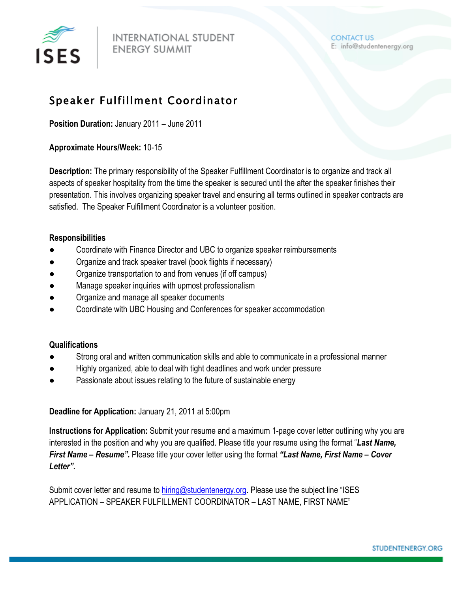

## Speaker Fulfillment Coordinator

**Position Duration:** January 2011 – June 2011

#### **Approximate Hours/Week:** 10-15

**Description:** The primary responsibility of the Speaker Fulfillment Coordinator is to organize and track all aspects of speaker hospitality from the time the speaker is secured until the after the speaker finishes their presentation. This involves organizing speaker travel and ensuring all terms outlined in speaker contracts are satisfied. The Speaker Fulfillment Coordinator is a volunteer position.

#### **Responsibilities**

- Coordinate with Finance Director and UBC to organize speaker reimbursements
- Organize and track speaker travel (book flights if necessary)
- Organize transportation to and from venues (if off campus)
- Manage speaker inquiries with upmost professionalism
- Organize and manage all speaker documents
- Coordinate with UBC Housing and Conferences for speaker accommodation

#### **Qualifications**

- Strong oral and written communication skills and able to communicate in a professional manner
- Highly organized, able to deal with tight deadlines and work under pressure
- Passionate about issues relating to the future of sustainable energy

**Deadline for Application:** January 21, 2011 at 5:00pm

**Instructions for Application:** Submit your resume and a maximum 1-page cover letter outlining why you are interested in the position and why you are qualified. Please title your resume using the format "*Last Name, First Name – Resume".* Please title your cover letter using the format *"Last Name, First Name – Cover Letter".*

Submit cover letter and resume to hiring@studentenergy.org. Please use the subject line "ISES APPLICATION – SPEAKER FULFILLMENT COORDINATOR – LAST NAME, FIRST NAME"